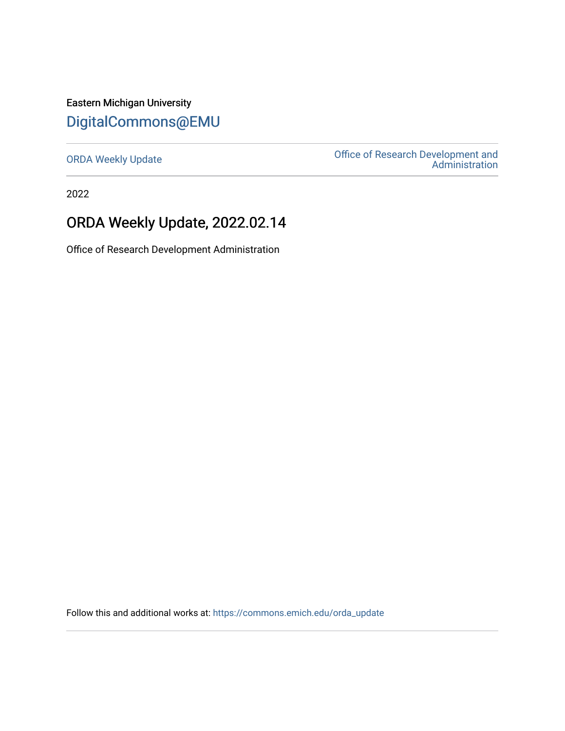Eastern Michigan University [DigitalCommons@EMU](https://commons.emich.edu/) 

[ORDA Weekly Update](https://commons.emich.edu/orda_update) **ORDA Weekly Update** Office of Research Development and [Administration](https://commons.emich.edu/orda) 

2022

### ORDA Weekly Update, 2022.02.14

Office of Research Development Administration

Follow this and additional works at: [https://commons.emich.edu/orda\\_update](https://commons.emich.edu/orda_update?utm_source=commons.emich.edu%2Forda_update%2F146&utm_medium=PDF&utm_campaign=PDFCoverPages)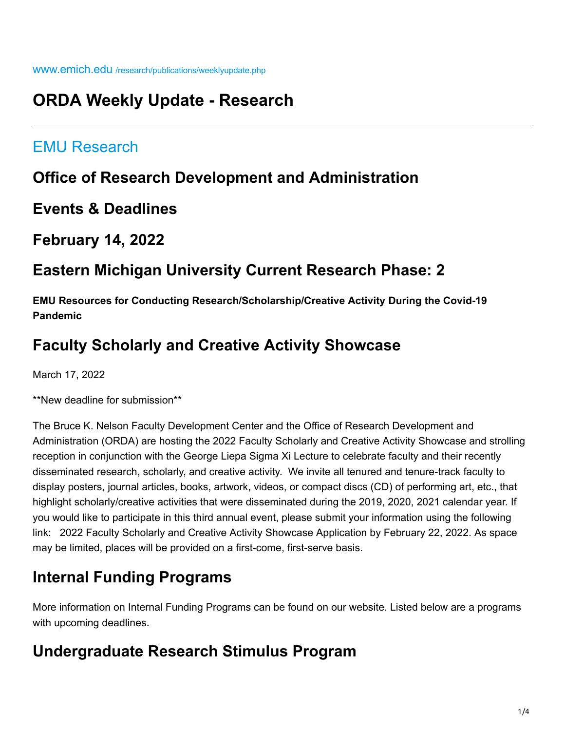## **ORDA Weekly Update - Research**

### [EMU Research](https://www.emich.edu/research/index.php)

### **Office of Research Development and Administration**

**Events & Deadlines**

**February 14, 2022**

## **Eastern Michigan University Current Research Phase: 2**

**EMU Resources for Conducting Research/Scholarship/Creative Activity During the Covid-19 Pandemic**

## **Faculty Scholarly and Creative Activity Showcase**

March 17, 2022

\*\*New deadline for submission\*\*

The Bruce K. Nelson Faculty Development Center and the Office of Research Development and Administration (ORDA) are hosting the 2022 Faculty Scholarly and Creative Activity Showcase and strolling reception in conjunction with the George Liepa Sigma Xi Lecture to celebrate faculty and their recently disseminated research, scholarly, and creative activity. We invite all tenured and tenure-track faculty to display posters, journal articles, books, artwork, videos, or compact discs (CD) of performing art, etc., that highlight scholarly/creative activities that were disseminated during the 2019, 2020, 2021 calendar year. If you would like to participate in this third annual event, please submit your information using the following link: 2022 Faculty Scholarly and Creative Activity Showcase Application by February 22, 2022. As space may be limited, places will be provided on a first-come, first-serve basis.

# **Internal Funding Programs**

More information on Internal Funding Programs can be found on our website. Listed below are a programs with upcoming deadlines.

## **Undergraduate Research Stimulus Program**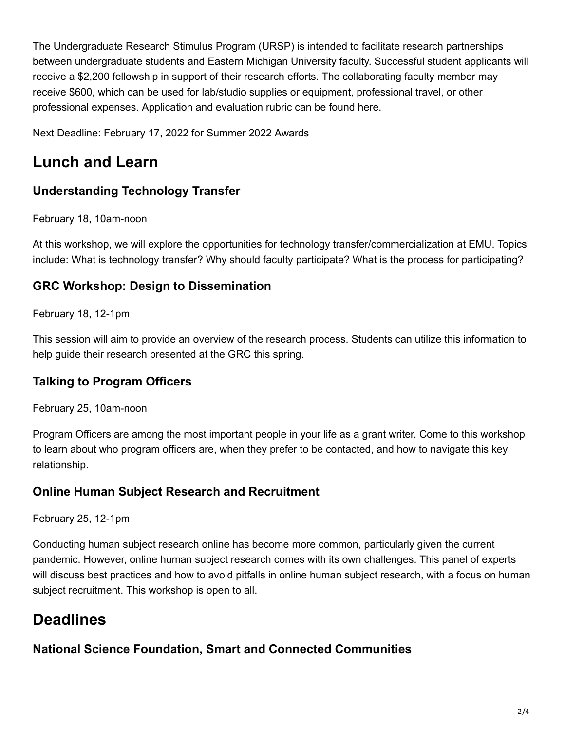The Undergraduate Research Stimulus Program (URSP) is intended to facilitate research partnerships between undergraduate students and Eastern Michigan University faculty. Successful student applicants will receive a \$2,200 fellowship in support of their research efforts. The collaborating faculty member may receive \$600, which can be used for lab/studio supplies or equipment, professional travel, or other professional expenses. Application and evaluation rubric can be found here.

Next Deadline: February 17, 2022 for Summer 2022 Awards

# **Lunch and Learn**

### **Understanding Technology Transfer**

February 18, 10am-noon

At this workshop, we will explore the opportunities for technology transfer/commercialization at EMU. Topics include: What is technology transfer? Why should faculty participate? What is the process for participating?

### **GRC Workshop: Design to Dissemination**

February 18, 12-1pm

This session will aim to provide an overview of the research process. Students can utilize this information to help guide their research presented at the GRC this spring.

### **Talking to Program Officers**

February 25, 10am-noon

Program Officers are among the most important people in your life as a grant writer. Come to this workshop to learn about who program officers are, when they prefer to be contacted, and how to navigate this key relationship.

### **Online Human Subject Research and Recruitment**

February 25, 12-1pm

Conducting human subject research online has become more common, particularly given the current pandemic. However, online human subject research comes with its own challenges. This panel of experts will discuss best practices and how to avoid pitfalls in online human subject research, with a focus on human subject recruitment. This workshop is open to all.

# **Deadlines**

**National Science Foundation, Smart and Connected Communities**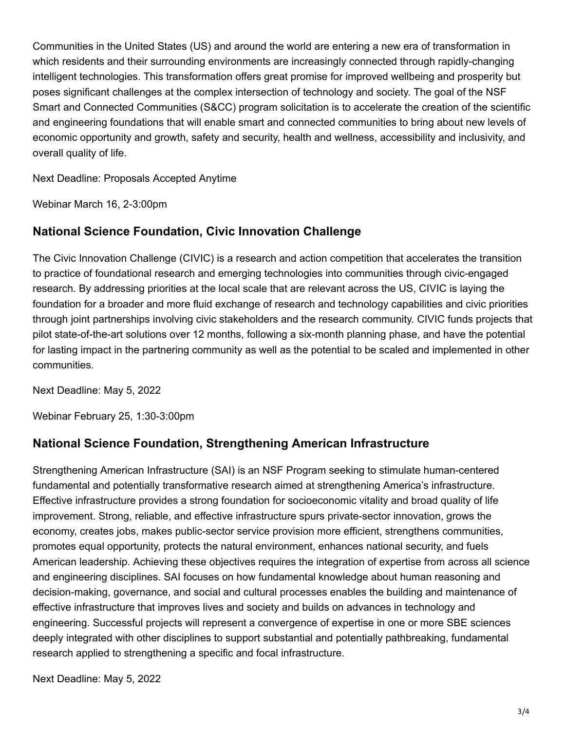Communities in the United States (US) and around the world are entering a new era of transformation in which residents and their surrounding environments are increasingly connected through rapidly-changing intelligent technologies. This transformation offers great promise for improved wellbeing and prosperity but poses significant challenges at the complex intersection of technology and society. The goal of the NSF Smart and Connected Communities (S&CC) program solicitation is to accelerate the creation of the scientific and engineering foundations that will enable smart and connected communities to bring about new levels of economic opportunity and growth, safety and security, health and wellness, accessibility and inclusivity, and overall quality of life.

Next Deadline: Proposals Accepted Anytime

Webinar March 16, 2-3:00pm

#### **National Science Foundation, Civic Innovation Challenge**

The Civic Innovation Challenge (CIVIC) is a research and action competition that accelerates the transition to practice of foundational research and emerging technologies into communities through civic-engaged research. By addressing priorities at the local scale that are relevant across the US, CIVIC is laying the foundation for a broader and more fluid exchange of research and technology capabilities and civic priorities through joint partnerships involving civic stakeholders and the research community. CIVIC funds projects that pilot state-of-the-art solutions over 12 months, following a six-month planning phase, and have the potential for lasting impact in the partnering community as well as the potential to be scaled and implemented in other communities.

Next Deadline: May 5, 2022

Webinar February 25, 1:30-3:00pm

#### **National Science Foundation, Strengthening American Infrastructure**

Strengthening American Infrastructure (SAI) is an NSF Program seeking to stimulate human-centered fundamental and potentially transformative research aimed at strengthening America's infrastructure. Effective infrastructure provides a strong foundation for socioeconomic vitality and broad quality of life improvement. Strong, reliable, and effective infrastructure spurs private-sector innovation, grows the economy, creates jobs, makes public-sector service provision more efficient, strengthens communities, promotes equal opportunity, protects the natural environment, enhances national security, and fuels American leadership. Achieving these objectives requires the integration of expertise from across all science and engineering disciplines. SAI focuses on how fundamental knowledge about human reasoning and decision-making, governance, and social and cultural processes enables the building and maintenance of effective infrastructure that improves lives and society and builds on advances in technology and engineering. Successful projects will represent a convergence of expertise in one or more SBE sciences deeply integrated with other disciplines to support substantial and potentially pathbreaking, fundamental research applied to strengthening a specific and focal infrastructure.

Next Deadline: May 5, 2022